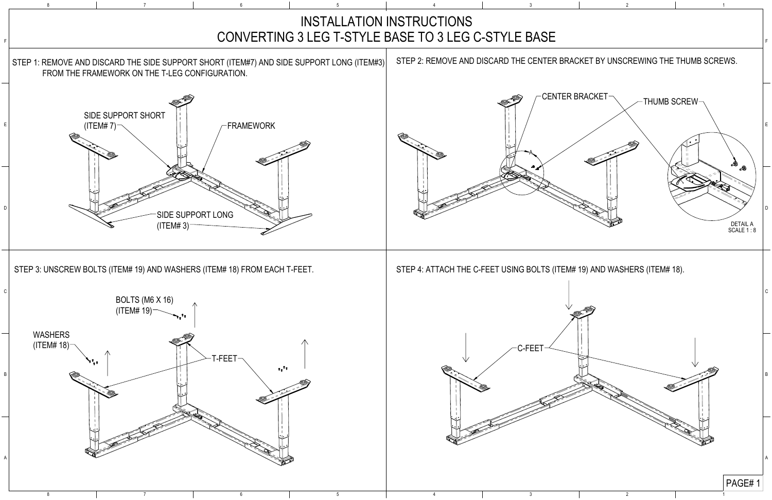